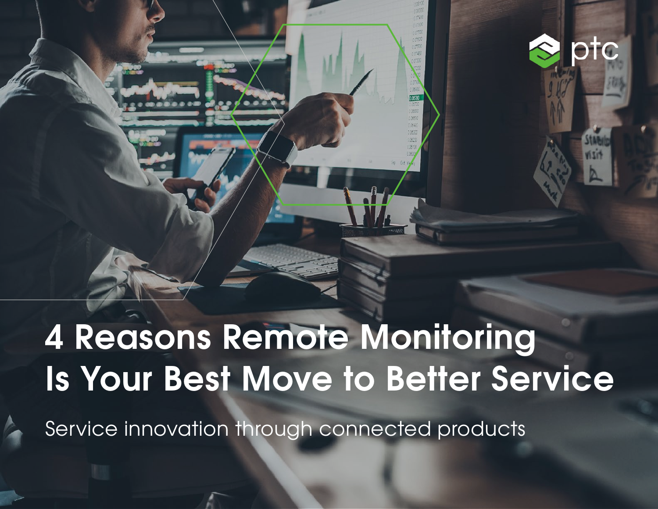

otc

Service innovation through connected products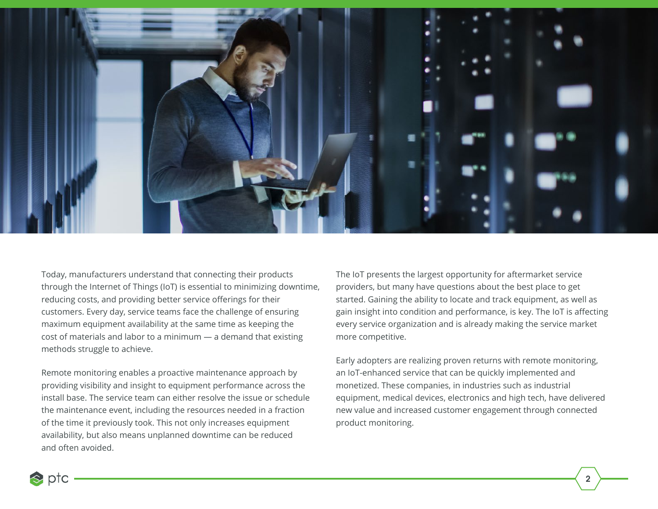

Today, manufacturers understand that connecting their products through the Internet of Things (IoT) is essential to minimizing downtime, reducing costs, and providing better service offerings for their customers. Every day, service teams face the challenge of ensuring maximum equipment availability at the same time as keeping the cost of materials and labor to a minimum — a demand that existing methods struggle to achieve.

Remote monitoring enables a proactive maintenance approach by providing visibility and insight to equipment performance across the install base. The service team can either resolve the issue or schedule the maintenance event, including the resources needed in a fraction of the time it previously took. This not only increases equipment availability, but also means unplanned downtime can be reduced and often avoided.

The IoT presents the largest opportunity for aftermarket service providers, but many have questions about the best place to get started. Gaining the ability to locate and track equipment, as well as gain insight into condition and performance, is key. The IoT is affecting every service organization and is already making the service market more competitive.

Early adopters are realizing proven returns with remote monitoring, an IoT-enhanced service that can be quickly implemented and monetized. These companies, in industries such as industrial equipment, medical devices, electronics and high tech, have delivered new value and increased customer engagement through connected product monitoring.

 $\triangle$  ptc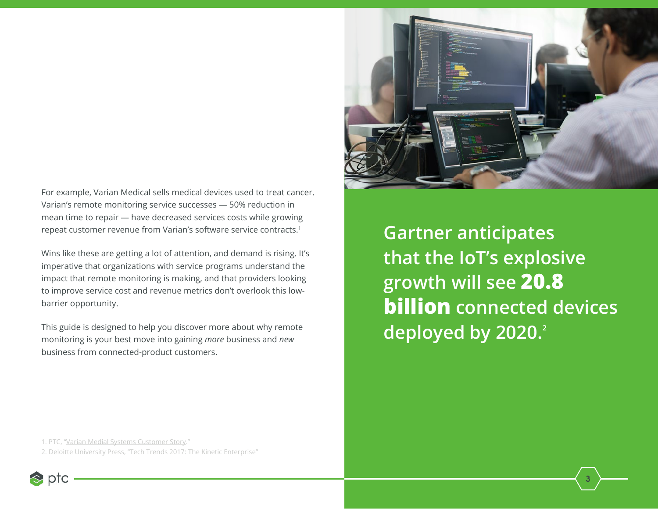

Wins like these are getting a lot of attention, and demand is rising. It's imperative that organizations with service programs understand the impact that remote monitoring is making, and that providers looking to improve service cost and revenue metrics don't overlook this lowbarrier opportunity.

This guide is designed to help you discover more about why remote monitoring is your best move into gaining *more* business and *new* business from connected-product customers.



**Gartner anticipates that the IoT's explosive growth will see 20.8 billion connected devices**  deployed by 2020.<sup>2</sup>

**3**

1. PTC, "[Varian Medial Systems Customer Story.](https://www.ptc.com/en/case-studies/varian-medical-systems)"

2. Deloitte University Press, "Tech Trends 2017: The Kinetic Enterprise"

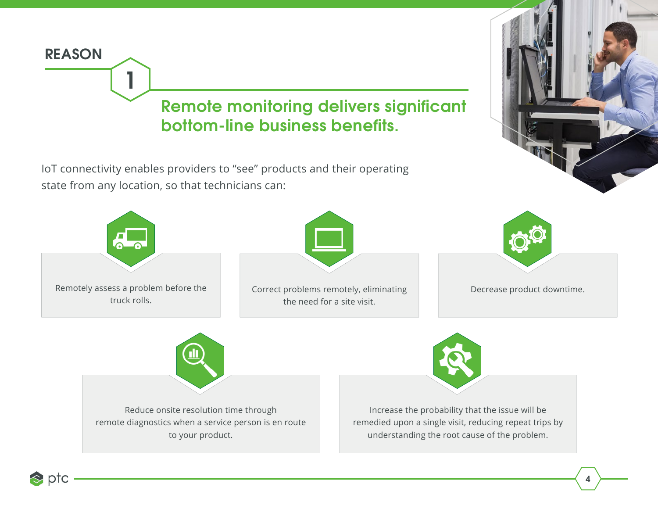

 $\triangle$  ptc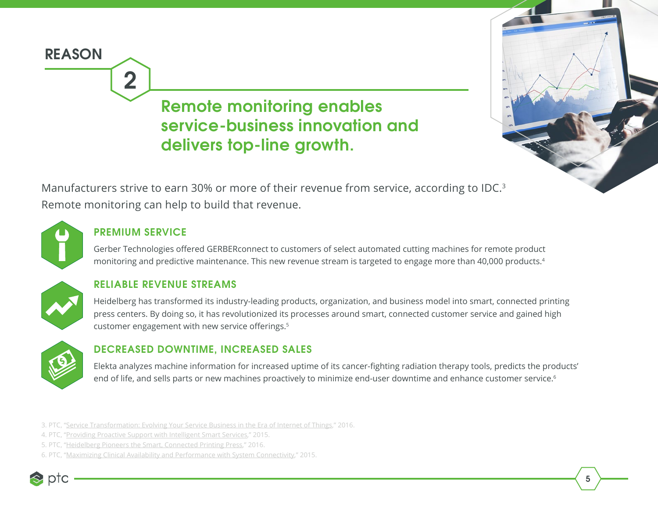# **REASON 2 Remote monitoring enables service-business innovation and delivers top-line growth.**



Manufacturers strive to earn 30% or more of their revenue from service, according to IDC.<sup>3</sup> Remote monitoring can help to build that revenue.



#### **PREMIUM SERVICE**

Gerber Technologies offered GERBERconnect to customers of select automated cutting machines for remote product monitoring and predictive maintenance. This new revenue stream is targeted to engage more than 40,000 products.4

### **RELIABLE REVENUE STREAMS**

Heidelberg has transformed its industry-leading products, organization, and business model into smart, connected printing press centers. By doing so, it has revolutionized its processes around smart, connected customer service and gained high customer engagement with new service offerings.<sup>5</sup>



#### **DECREASED DOWNTIME, INCREASED SALES**

Elekta analyzes machine information for increased uptime of its cancer-fighting radiation therapy tools, predicts the products' end of life, and sells parts or new machines proactively to minimize end-user downtime and enhance customer service.<sup>6</sup>

3. PTC, "[Service Transformation: Evolving Your Service Business in the Era of Internet of Things](http://www.ptc.com/-/media/Files/PDFs/SLM/ServiceTransform_WP_v2.ashx?la=en&hash=1F770FB2088A8B32E76FCDF33FCF536F67C0DB6D)," 2016.

- 4. PTC, "[Providing Proactive Support with Intelligent Smart Services,](https://www.ptc.com/-/media/Files/PDFs/IoT/Axeda-CS-Gerber.ashx?la=en&hash=FADE0E3E7916E8BF2471F2D6D43421435E9BECCE)" 2015.
- 5. PTC, "[Heidelberg Pioneers the Smart, Connected Printing Press,](https://www.ptc.com/en/case-studies/heidelberg-iot-transformational)" 2016.
- 6. PTC, "[Maximizing Clinical Availability and Performance with System Connectivity](https://www.ptc.com/-/media/Files/PDFs/IoT/Axeda-CS-Elekta.ashx?la=en&hash=9D9BC1295B7F8F2D669AB5E9A0B3B26241247BE2)," 2015.

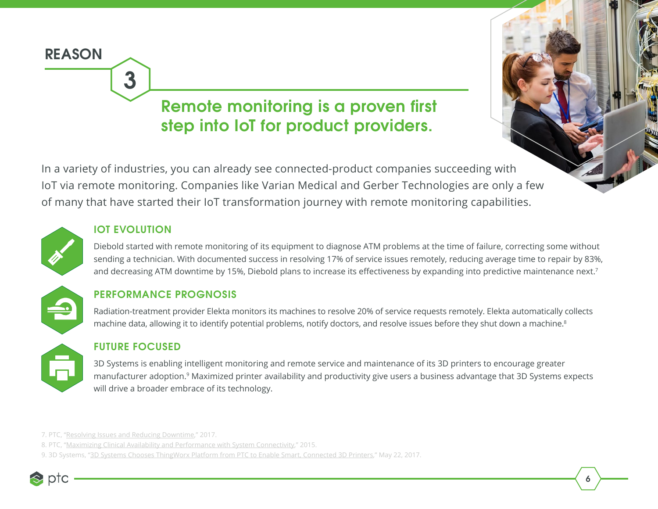# **Remote monitoring is a proven first step into IoT for product providers.**

In a variety of industries, you can already see connected-product companies succeeding with IoT via remote monitoring. Companies like Varian Medical and Gerber Technologies are only a few of many that have started their IoT transformation journey with remote monitoring capabilities.

#### **IOT EVOLUTION**

**3**

Diebold started with remote monitoring of its equipment to diagnose ATM problems at the time of failure, correcting some without sending a technician. With documented success in resolving 17% of service issues remotely, reducing average time to repair by 83%, and decreasing ATM downtime by 15%, Diebold plans to increase its effectiveness by expanding into predictive maintenance next.<sup>7</sup>



**REASON**

#### **PERFORMANCE PROGNOSIS**

Radiation-treatment provider Elekta monitors its machines to resolve 20% of service requests remotely. Elekta automatically collects machine data, allowing it to identify potential problems, notify doctors, and resolve issues before they shut down a machine.<sup>8</sup>



#### **FUTURE FOCUSED**

3D Systems is enabling intelligent monitoring and remote service and maintenance of its 3D printers to encourage greater manufacturer adoption.9 Maximized printer availability and productivity give users a business advantage that 3D Systems expects will drive a broader embrace of its technology.

**6**

<sup>9. 3</sup>D Systems, "[3D Systems Chooses ThingWorx Platform from PTC to Enable Smart, Connected 3D Printers](https://www.3dsystems.com/press-releases/3d-systems-chooses-thingworx-platform-ptc-enable-smart-connected-3d-printers)," May 22, 2017.



<sup>7.</sup> PTC, "[Resolving Issues and Reducing Downtime,](https://www.ptc.com/-/media/Files/PDFs/IoT/Axeda-CS-Diebold.ashx?la=en&hash=F5E04D977EB01A222415F595C2D35B12BF884CF3)" 2017.

<sup>8.</sup> PTC, "[Maximizing Clinical Availability and Performance with System Connectivity](https://www.ptc.com/-/media/Files/PDFs/IoT/Axeda-CS-Elekta.ashx?la=en&hash=9D9BC1295B7F8F2D669AB5E9A0B3B26241247BE2)," 2015.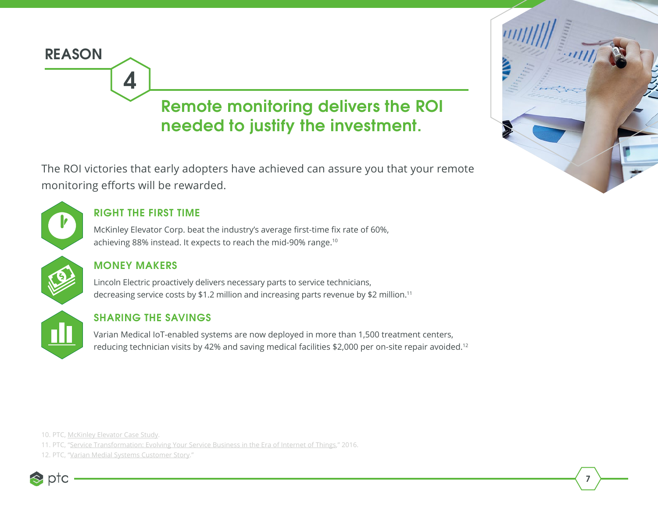# **4 Remote monitoring delivers the ROI needed to justify the investment.**

The ROI victories that early adopters have achieved can assure you that your remote monitoring efforts will be rewarded.



**REASON**

## **RIGHT THE FIRST TIME**

McKinley Elevator Corp. beat the industry's average first-time fix rate of 60%, achieving 88% instead. It expects to reach the mid-90% range.10

### **MONEY MAKERS**

Lincoln Electric proactively delivers necessary parts to service technicians, decreasing service costs by \$1.2 million and increasing parts revenue by \$2 million.11

### **SHARING THE SAVINGS**

Varian Medical IoT-enabled systems are now deployed in more than 1,500 treatment centers, reducing technician visits by 42% and saving medical facilities \$2,000 per on-site repair avoided.12

10. PTC, [McKinley Elevator Case Study](http://www.ptc.com/service-lifecycle-management/mckinley-elevator-case-study).

11. PTC, "[Service Transformation: Evolving Your Service Business in the Era of Internet of Things](http://www.ptc.com/-/media/Files/PDFs/SLM/ServiceTransform_WP_v2.ashx?la=en&hash=1F770FB2088A8B32E76FCDF33FCF536F67C0DB6D)," 2016.

12. PTC, ["Varian Medial Systems Customer Story](https://www.ptc.com/en/case-studies/varian-medical-systems)."





**7**